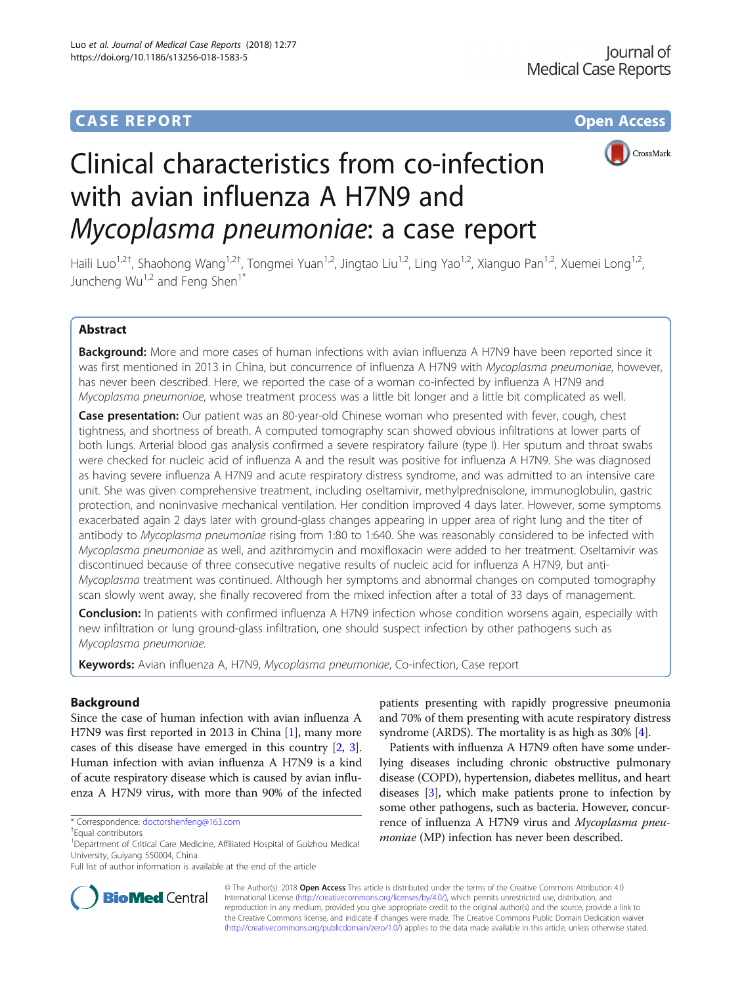# **CASE REPORT CASE REPORT CASE REPORT**



# Clinical characteristics from co-infection with avian influenza A H7N9 and Mycoplasma pneumoniae: a case report

Haili Luo<sup>1,2†</sup>, Shaohong Wang<sup>1,2†</sup>, Tongmei Yuan<sup>1,2</sup>, Jingtao Liu<sup>1,2</sup>, Ling Yao<sup>1,2</sup>, Xianguo Pan<sup>1,2</sup>, Xuemei Long<sup>1,2</sup>, Juncheng  $Wu^{1,2}$  and Feng Shen<sup>1\*</sup>

# Abstract

Background: More and more cases of human infections with avian influenza A H7N9 have been reported since it was first mentioned in 2013 in China, but concurrence of influenza A H7N9 with Mycoplasma pneumoniae, however, has never been described. Here, we reported the case of a woman co-infected by influenza A H7N9 and Mycoplasma pneumoniae, whose treatment process was a little bit longer and a little bit complicated as well.

Case presentation: Our patient was an 80-year-old Chinese woman who presented with fever, cough, chest tightness, and shortness of breath. A computed tomography scan showed obvious infiltrations at lower parts of both lungs. Arterial blood gas analysis confirmed a severe respiratory failure (type I). Her sputum and throat swabs were checked for nucleic acid of influenza A and the result was positive for influenza A H7N9. She was diagnosed as having severe influenza A H7N9 and acute respiratory distress syndrome, and was admitted to an intensive care unit. She was given comprehensive treatment, including oseltamivir, methylprednisolone, immunoglobulin, gastric protection, and noninvasive mechanical ventilation. Her condition improved 4 days later. However, some symptoms exacerbated again 2 days later with ground-glass changes appearing in upper area of right lung and the titer of antibody to Mycoplasma pneumoniae rising from 1:80 to 1:640. She was reasonably considered to be infected with Mycoplasma pneumoniae as well, and azithromycin and moxifloxacin were added to her treatment. Oseltamivir was discontinued because of three consecutive negative results of nucleic acid for influenza A H7N9, but anti-Mycoplasma treatment was continued. Although her symptoms and abnormal changes on computed tomography scan slowly went away, she finally recovered from the mixed infection after a total of 33 days of management.

**Conclusion:** In patients with confirmed influenza A H7N9 infection whose condition worsens again, especially with new infiltration or lung ground-glass infiltration, one should suspect infection by other pathogens such as Mycoplasma pneumoniae.

Keywords: Avian influenza A, H7N9, Mycoplasma pneumoniae, Co-infection, Case report

# **Background**

Since the case of human infection with avian influenza A H7N9 was first reported in 2013 in China [\[1](#page-4-0)], many more cases of this disease have emerged in this country [[2,](#page-4-0) [3](#page-4-0)]. Human infection with avian influenza A H7N9 is a kind of acute respiratory disease which is caused by avian influenza A H7N9 virus, with more than 90% of the infected

\* Correspondence: [doctorshenfeng@163.com](mailto:doctorshenfeng@163.com) †

Equal contributors

patients presenting with rapidly progressive pneumonia and 70% of them presenting with acute respiratory distress syndrome (ARDS). The mortality is as high as 30% [[4](#page-4-0)].

Patients with influenza A H7N9 often have some underlying diseases including chronic obstructive pulmonary disease (COPD), hypertension, diabetes mellitus, and heart diseases [\[3\]](#page-4-0), which make patients prone to infection by some other pathogens, such as bacteria. However, concurrence of influenza A H7N9 virus and Mycoplasma pneumoniae (MP) infection has never been described.



© The Author(s). 2018 Open Access This article is distributed under the terms of the Creative Commons Attribution 4.0 International License [\(http://creativecommons.org/licenses/by/4.0/](http://creativecommons.org/licenses/by/4.0/)), which permits unrestricted use, distribution, and reproduction in any medium, provided you give appropriate credit to the original author(s) and the source, provide a link to the Creative Commons license, and indicate if changes were made. The Creative Commons Public Domain Dedication waiver [\(http://creativecommons.org/publicdomain/zero/1.0/](http://creativecommons.org/publicdomain/zero/1.0/)) applies to the data made available in this article, unless otherwise stated.

<sup>&</sup>lt;sup>1</sup>Department of Critical Care Medicine, Affiliated Hospital of Guizhou Medical University, Guiyang 550004, China

Full list of author information is available at the end of the article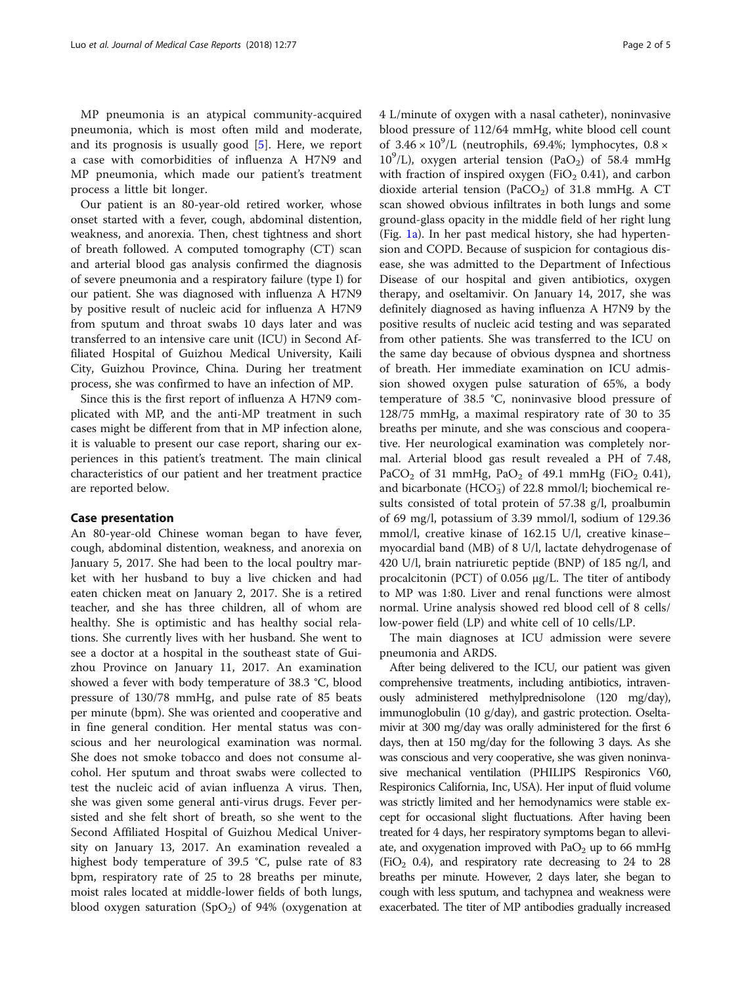MP pneumonia is an atypical community-acquired pneumonia, which is most often mild and moderate, and its prognosis is usually good [\[5](#page-4-0)]. Here, we report a case with comorbidities of influenza A H7N9 and MP pneumonia, which made our patient's treatment process a little bit longer.

Our patient is an 80-year-old retired worker, whose onset started with a fever, cough, abdominal distention, weakness, and anorexia. Then, chest tightness and short of breath followed. A computed tomography (CT) scan and arterial blood gas analysis confirmed the diagnosis of severe pneumonia and a respiratory failure (type I) for our patient. She was diagnosed with influenza A H7N9 by positive result of nucleic acid for influenza A H7N9 from sputum and throat swabs 10 days later and was transferred to an intensive care unit (ICU) in Second Affiliated Hospital of Guizhou Medical University, Kaili City, Guizhou Province, China. During her treatment process, she was confirmed to have an infection of MP.

Since this is the first report of influenza A H7N9 complicated with MP, and the anti-MP treatment in such cases might be different from that in MP infection alone, it is valuable to present our case report, sharing our experiences in this patient's treatment. The main clinical characteristics of our patient and her treatment practice are reported below.

#### Case presentation

An 80-year-old Chinese woman began to have fever, cough, abdominal distention, weakness, and anorexia on January 5, 2017. She had been to the local poultry market with her husband to buy a live chicken and had eaten chicken meat on January 2, 2017. She is a retired teacher, and she has three children, all of whom are healthy. She is optimistic and has healthy social relations. She currently lives with her husband. She went to see a doctor at a hospital in the southeast state of Guizhou Province on January 11, 2017. An examination showed a fever with body temperature of 38.3 °C, blood pressure of 130/78 mmHg, and pulse rate of 85 beats per minute (bpm). She was oriented and cooperative and in fine general condition. Her mental status was conscious and her neurological examination was normal. She does not smoke tobacco and does not consume alcohol. Her sputum and throat swabs were collected to test the nucleic acid of avian influenza A virus. Then, she was given some general anti-virus drugs. Fever persisted and she felt short of breath, so she went to the Second Affiliated Hospital of Guizhou Medical University on January 13, 2017. An examination revealed a highest body temperature of 39.5 °C, pulse rate of 83 bpm, respiratory rate of 25 to 28 breaths per minute, moist rales located at middle-lower fields of both lungs, blood oxygen saturation  $(SpO<sub>2</sub>)$  of 94% (oxygenation at

4 L/minute of oxygen with a nasal catheter), noninvasive blood pressure of 112/64 mmHg, white blood cell count of  $3.46 \times 10^9$ /L (neutrophils, 69.4%; lymphocytes, 0.8  $\times$  $10^9$ /L), oxygen arterial tension (PaO<sub>2</sub>) of 58.4 mmHg with fraction of inspired oxygen (FiO<sub>2</sub> 0.41), and carbon dioxide arterial tension (PaCO<sub>2</sub>) of 31.8 mmHg. A CT scan showed obvious infiltrates in both lungs and some ground-glass opacity in the middle field of her right lung (Fig. [1a](#page-2-0)). In her past medical history, she had hypertension and COPD. Because of suspicion for contagious disease, she was admitted to the Department of Infectious Disease of our hospital and given antibiotics, oxygen therapy, and oseltamivir. On January 14, 2017, she was definitely diagnosed as having influenza A H7N9 by the positive results of nucleic acid testing and was separated from other patients. She was transferred to the ICU on the same day because of obvious dyspnea and shortness of breath. Her immediate examination on ICU admission showed oxygen pulse saturation of 65%, a body temperature of 38.5 °C, noninvasive blood pressure of 128/75 mmHg, a maximal respiratory rate of 30 to 35 breaths per minute, and she was conscious and cooperative. Her neurological examination was completely normal. Arterial blood gas result revealed a PH of 7.48, PaCO<sub>2</sub> of 31 mmHg, PaO<sub>2</sub> of 49.1 mmHg (FiO<sub>2</sub> 0.41), and bicarbonate (HCO<sub>3</sub>) of 22.8 mmol/l; biochemical results consisted of total protein of 57.38 g/l, proalbumin of 69 mg/l, potassium of 3.39 mmol/l, sodium of 129.36 mmol/l, creative kinase of 162.15 U/l, creative kinase– myocardial band (MB) of 8 U/l, lactate dehydrogenase of 420 U/l, brain natriuretic peptide (BNP) of 185 ng/l, and procalcitonin (PCT) of 0.056 μg/L. The titer of antibody to MP was 1:80. Liver and renal functions were almost normal. Urine analysis showed red blood cell of 8 cells/ low-power field (LP) and white cell of 10 cells/LP.

The main diagnoses at ICU admission were severe pneumonia and ARDS.

After being delivered to the ICU, our patient was given comprehensive treatments, including antibiotics, intravenously administered methylprednisolone (120 mg/day), immunoglobulin (10 g/day), and gastric protection. Oseltamivir at 300 mg/day was orally administered for the first 6 days, then at 150 mg/day for the following 3 days. As she was conscious and very cooperative, she was given noninvasive mechanical ventilation (PHILIPS Respironics V60, Respironics California, Inc, USA). Her input of fluid volume was strictly limited and her hemodynamics were stable except for occasional slight fluctuations. After having been treated for 4 days, her respiratory symptoms began to alleviate, and oxygenation improved with  $PaO<sub>2</sub>$  up to 66 mmHg  $(FiO<sub>2</sub> 0.4)$ , and respiratory rate decreasing to 24 to 28 breaths per minute. However, 2 days later, she began to cough with less sputum, and tachypnea and weakness were exacerbated. The titer of MP antibodies gradually increased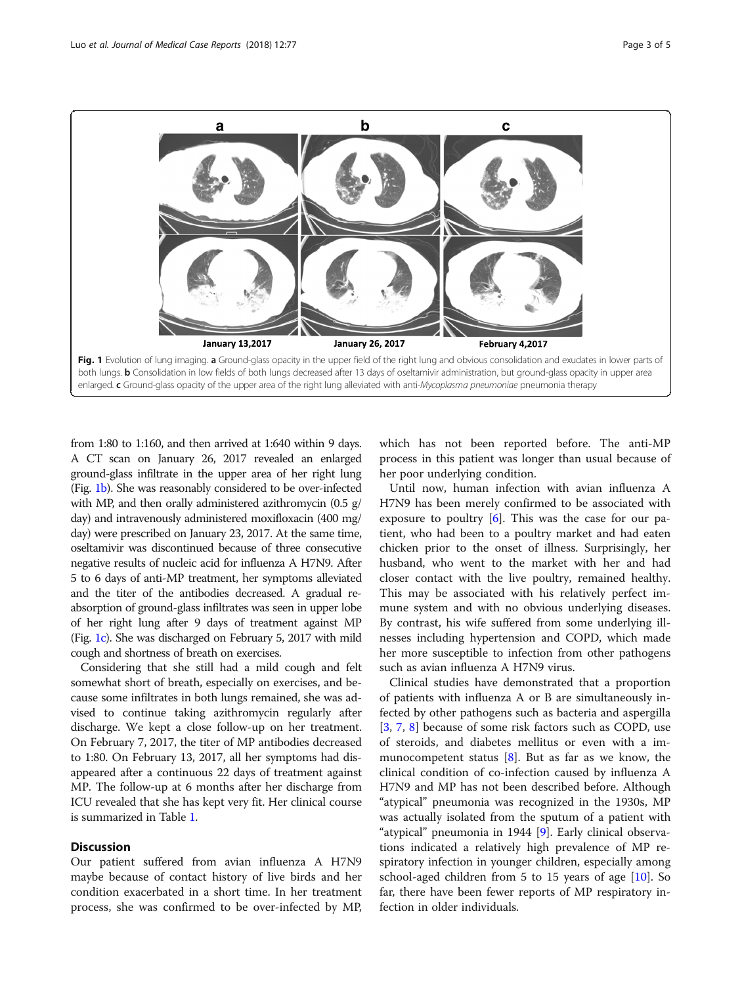<span id="page-2-0"></span>

from 1:80 to 1:160, and then arrived at 1:640 within 9 days. A CT scan on January 26, 2017 revealed an enlarged ground-glass infiltrate in the upper area of her right lung (Fig. 1b). She was reasonably considered to be over-infected with MP, and then orally administered azithromycin (0.5 g/ day) and intravenously administered moxifloxacin (400 mg/ day) were prescribed on January 23, 2017. At the same time, oseltamivir was discontinued because of three consecutive negative results of nucleic acid for influenza A H7N9. After 5 to 6 days of anti-MP treatment, her symptoms alleviated and the titer of the antibodies decreased. A gradual reabsorption of ground-glass infiltrates was seen in upper lobe of her right lung after 9 days of treatment against MP (Fig. 1c). She was discharged on February 5, 2017 with mild cough and shortness of breath on exercises.

Considering that she still had a mild cough and felt somewhat short of breath, especially on exercises, and because some infiltrates in both lungs remained, she was advised to continue taking azithromycin regularly after discharge. We kept a close follow-up on her treatment. On February 7, 2017, the titer of MP antibodies decreased to 1:80. On February 13, 2017, all her symptoms had disappeared after a continuous 22 days of treatment against MP. The follow-up at 6 months after her discharge from ICU revealed that she has kept very fit. Her clinical course is summarized in Table [1.](#page-3-0)

### **Discussion**

Our patient suffered from avian influenza A H7N9 maybe because of contact history of live birds and her condition exacerbated in a short time. In her treatment process, she was confirmed to be over-infected by MP,

which has not been reported before. The anti-MP process in this patient was longer than usual because of her poor underlying condition.

Until now, human infection with avian influenza A H7N9 has been merely confirmed to be associated with exposure to poultry [\[6](#page-4-0)]. This was the case for our patient, who had been to a poultry market and had eaten chicken prior to the onset of illness. Surprisingly, her husband, who went to the market with her and had closer contact with the live poultry, remained healthy. This may be associated with his relatively perfect immune system and with no obvious underlying diseases. By contrast, his wife suffered from some underlying illnesses including hypertension and COPD, which made her more susceptible to infection from other pathogens such as avian influenza A H7N9 virus.

Clinical studies have demonstrated that a proportion of patients with influenza A or B are simultaneously infected by other pathogens such as bacteria and aspergilla [[3,](#page-4-0) [7](#page-4-0), [8](#page-4-0)] because of some risk factors such as COPD, use of steroids, and diabetes mellitus or even with a immunocompetent status  $[8]$  $[8]$ . But as far as we know, the clinical condition of co-infection caused by influenza A H7N9 and MP has not been described before. Although "atypical" pneumonia was recognized in the 1930s, MP was actually isolated from the sputum of a patient with "atypical" pneumonia in 1944 [[9\]](#page-4-0). Early clinical observations indicated a relatively high prevalence of MP respiratory infection in younger children, especially among school-aged children from 5 to 15 years of age [\[10](#page-4-0)]. So far, there have been fewer reports of MP respiratory infection in older individuals.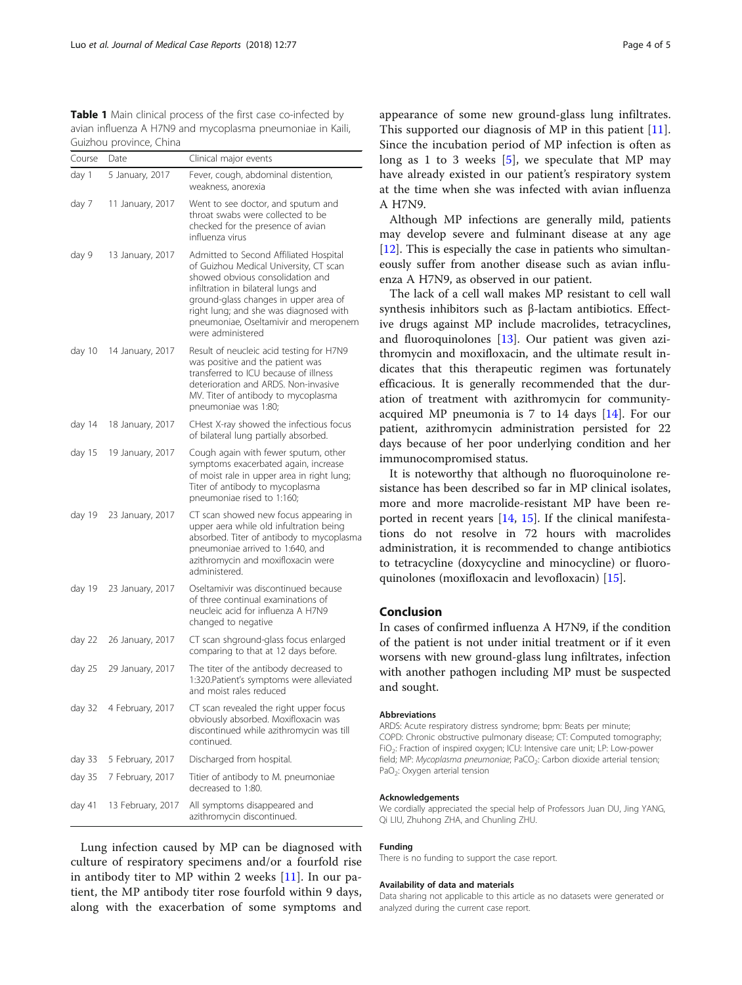<span id="page-3-0"></span>Table 1 Main clinical process of the first case co-infected by avian influenza A H7N9 and mycoplasma pneumoniae in Kaili, Guizhou province, China

| Course | Date              | Clinical major events                                                                                                                                                                                                                                                                                        |
|--------|-------------------|--------------------------------------------------------------------------------------------------------------------------------------------------------------------------------------------------------------------------------------------------------------------------------------------------------------|
| day 1  | 5 January, 2017   | Fever, cough, abdominal distention,<br>weakness, anorexia                                                                                                                                                                                                                                                    |
| day 7  | 11 January, 2017  | Went to see doctor, and sputum and<br>throat swabs were collected to be<br>checked for the presence of avian<br>influenza virus                                                                                                                                                                              |
| day 9  | 13 January, 2017  | Admitted to Second Affiliated Hospital<br>of Guizhou Medical University, CT scan<br>showed obvious consolidation and<br>infiltration in bilateral lungs and<br>ground-glass changes in upper area of<br>right lung; and she was diagnosed with<br>pneumoniae, Oseltamivir and meropenem<br>were administered |
| day 10 | 14 January, 2017  | Result of neucleic acid testing for H7N9<br>was positive and the patient was<br>transferred to ICU because of illness<br>deterioration and ARDS. Non-invasive<br>MV. Titer of antibody to mycoplasma<br>pneumoniae was 1:80;                                                                                 |
| day 14 | 18 January, 2017  | CHest X-ray showed the infectious focus<br>of bilateral lung partially absorbed.                                                                                                                                                                                                                             |
| day 15 | 19 January, 2017  | Cough again with fewer sputum, other<br>symptoms exacerbated again, increase<br>of moist rale in upper area in right lung;<br>Titer of antibody to mycoplasma<br>pneumoniae rised to 1:160;                                                                                                                  |
| day 19 | 23 January, 2017  | CT scan showed new focus appearing in<br>upper aera while old infultration being<br>absorbed. Titer of antibody to mycoplasma<br>pneumoniae arrived to 1:640, and<br>azithromycin and moxifloxacin were<br>administered.                                                                                     |
| day 19 | 23 January, 2017  | Oseltamivir was discontinued because<br>of three continual examinations of<br>neucleic acid for influenza A H7N9<br>changed to negative                                                                                                                                                                      |
| day 22 | 26 January, 2017  | CT scan shground-glass focus enlarged<br>comparing to that at 12 days before.                                                                                                                                                                                                                                |
| day 25 | 29 January, 2017  | The titer of the antibody decreased to<br>1:320. Patient's symptoms were alleviated<br>and moist rales reduced                                                                                                                                                                                               |
| day 32 | 4 February, 2017  | CT scan revealed the right upper focus<br>obviously absorbed. Moxifloxacin was<br>discontinued while azithromycin was till<br>continued.                                                                                                                                                                     |
| day 33 | 5 February, 2017  | Discharged from hospital.                                                                                                                                                                                                                                                                                    |
| day 35 | 7 February, 2017  | Titier of antibody to M. pneumoniae<br>decreased to 1:80.                                                                                                                                                                                                                                                    |
| day 41 | 13 February, 2017 | All symptoms disappeared and<br>azithromycin discontinued.                                                                                                                                                                                                                                                   |

Lung infection caused by MP can be diagnosed with culture of respiratory specimens and/or a fourfold rise in antibody titer to MP within 2 weeks [\[11](#page-4-0)]. In our patient, the MP antibody titer rose fourfold within 9 days, along with the exacerbation of some symptoms and

appearance of some new ground-glass lung infiltrates. This supported our diagnosis of MP in this patient [\[11](#page-4-0)]. Since the incubation period of MP infection is often as long as 1 to 3 weeks  $[5]$  $[5]$ , we speculate that MP may have already existed in our patient's respiratory system at the time when she was infected with avian influenza A H7N9.

Although MP infections are generally mild, patients may develop severe and fulminant disease at any age [[12\]](#page-4-0). This is especially the case in patients who simultaneously suffer from another disease such as avian influenza A H7N9, as observed in our patient.

The lack of a cell wall makes MP resistant to cell wall synthesis inhibitors such as β-lactam antibiotics. Effective drugs against MP include macrolides, tetracyclines, and fluoroquinolones [\[13](#page-4-0)]. Our patient was given azithromycin and moxifloxacin, and the ultimate result indicates that this therapeutic regimen was fortunately efficacious. It is generally recommended that the duration of treatment with azithromycin for communityacquired MP pneumonia is 7 to 14 days [\[14](#page-4-0)]. For our patient, azithromycin administration persisted for 22 days because of her poor underlying condition and her immunocompromised status.

It is noteworthy that although no fluoroquinolone resistance has been described so far in MP clinical isolates, more and more macrolide-resistant MP have been reported in recent years [\[14,](#page-4-0) [15](#page-4-0)]. If the clinical manifestations do not resolve in 72 hours with macrolides administration, it is recommended to change antibiotics to tetracycline (doxycycline and minocycline) or fluoroquinolones (moxifloxacin and levofloxacin) [\[15](#page-4-0)].

## Conclusion

In cases of confirmed influenza A H7N9, if the condition of the patient is not under initial treatment or if it even worsens with new ground-glass lung infiltrates, infection with another pathogen including MP must be suspected and sought.

#### Abbreviations

ARDS: Acute respiratory distress syndrome; bpm: Beats per minute; COPD: Chronic obstructive pulmonary disease; CT: Computed tomography; FiO2: Fraction of inspired oxygen; ICU: Intensive care unit; LP: Low-power field; MP: Mycoplasma pneumoniae; PaCO<sub>2</sub>: Carbon dioxide arterial tension; PaO<sub>2</sub>: Oxygen arterial tension

#### Acknowledgements

We cordially appreciated the special help of Professors Juan DU, Jing YANG, Qi LIU, Zhuhong ZHA, and Chunling ZHU.

#### Funding

There is no funding to support the case report.

#### Availability of data and materials

Data sharing not applicable to this article as no datasets were generated or analyzed during the current case report.